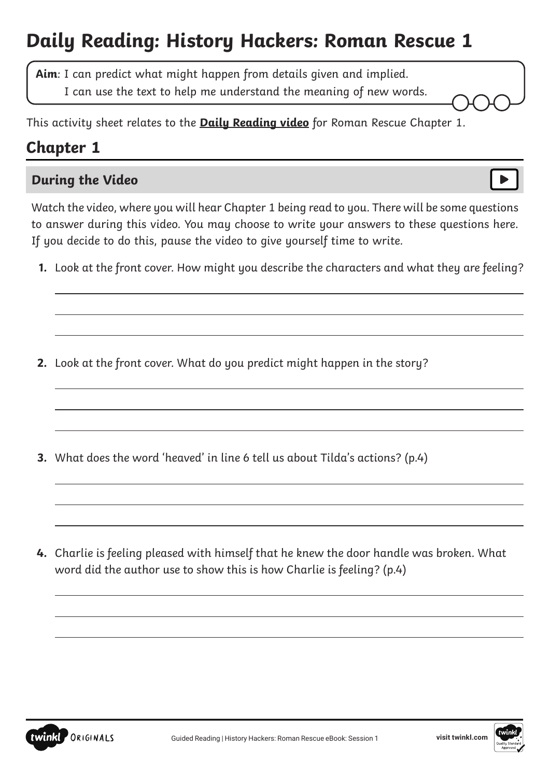# **Daily Reading: History Hackers: Roman Rescue 1**

**Aim**: I can predict what might happen from details given and implied.

I can use the text to help me understand the meaning of new words.

This activity sheet relates to the **[Daily Reading video](https://www.youtube.com/watch?v=aVk_zmiufw0&feature=youtu.be)** for Roman Rescue Chapter 1.

## **Chapter 1**

 $\overline{a}$ 

 $\overline{a}$ 

 $\overline{a}$ 

## **During the Video**

Watch the video, where you will hear Chapter 1 being read to you. There will be some questions to answer during this video. You may choose to write your answers to these questions here. If you decide to do this, pause the video to give yourself time to write.

**1.** Look at the front cover. How might you describe the characters and what they are feeling?

**2.** Look at the front cover. What do you predict might happen in the story?

**3.** What does the word 'heaved' in line 6 tell us about Tilda's actions? (p.4)

**4.** Charlie is feeling pleased with himself that he knew the door handle was broken. What word did the author use to show this is how Charlie is feeling? (p.4)





 $\overline{a}$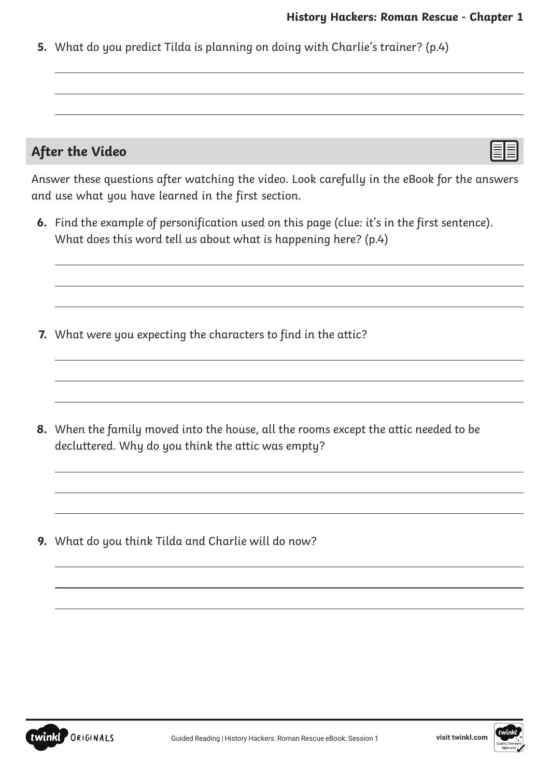$\overline{a}$ 

 $\overline{a}$ 

**5.** What do you predict Tilda is planning on doing with Charlie's trainer? (p.4)

#### **After the Video**

 $\overline{a}$ 

 $\overline{a}$ 

 $\overline{a}$ 

 $\overline{a}$ 

 $\overline{a}$ 

Answer these questions after watching the video. Look carefully in the eBook for the answers and use what you have learned in the first section.

**6.** Find the example of personification used on this page (clue: it's in the first sentence). What does this word tell us about what is happening here? (p.4)

**7.** What were you expecting the characters to find in the attic?

**8.** When the family moved into the house, all the rooms except the attic needed to be decluttered. Why do you think the attic was empty?

**9.** What do you think Tilda and Charlie will do now?